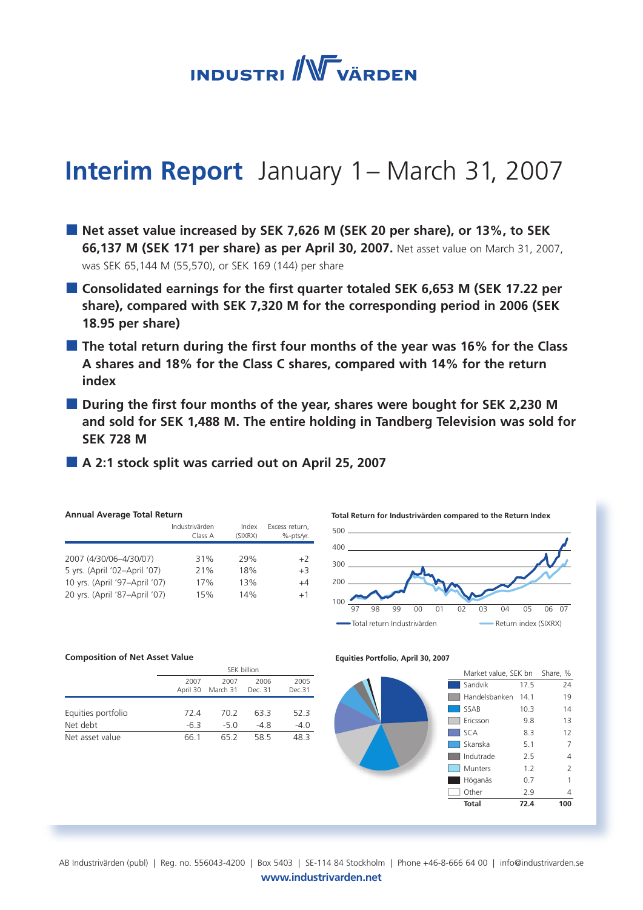**INDUSTRI** WVÄRDEN

# **Interim Report** January 1 – March 31, 2007

- **Net asset value increased by SEK 7,626 M (SEK 20 per share), or 13%, to SEK 66,137 M (SEK 171 per share) as per April 30, 2007.** Net asset value on March 31, 2007, was SEK 65,144 M (55,570), or SEK 169 (144) per share
- **Consolidated earnings for the first quarter totaled SEK 6,653 M (SEK 17.22 per share), compared with SEK 7,320 M for the corresponding period in 2006 (SEK 18.95 per share)**
- **The total return during the first four months of the year was 16% for the Class A shares and 18% for the Class C shares, compared with 14% for the return index**
- **During the first four months of the year, shares were bought for SEK 2,230 M and sold for SEK 1,488 M. The entire holding in Tandberg Television was sold for SEK 728 M**
- **A 2:1 stock split was carried out on April 25, 2007**

| <b>Annual Average Total Return</b> |                           |                  |                             |  |  |  |  |  |
|------------------------------------|---------------------------|------------------|-----------------------------|--|--|--|--|--|
|                                    | Industrivärden<br>Class A | Index<br>(SIXRX) | Excess return,<br>%-pts/yr. |  |  |  |  |  |
|                                    |                           |                  |                             |  |  |  |  |  |
| 2007 (4/30/06-4/30/07)             | 31%                       | 29%              | $+2$                        |  |  |  |  |  |
| 5 yrs. (April '02-April '07)       | 21%                       | 18%              | $+3$                        |  |  |  |  |  |
| 10 yrs. (April '97-April '07)      | 17%                       | 13%              | $+4$                        |  |  |  |  |  |
| 20 yrs. (April '87-April '07)      | 15%                       | 14%              | $+1$                        |  |  |  |  |  |
|                                    |                           |                  |                             |  |  |  |  |  |



**Total Return for Industrivärden compared to the Return Index**

#### **Composition of Net Asset Value**

|                    | SEK billion |                           |                 |                |  |  |
|--------------------|-------------|---------------------------|-----------------|----------------|--|--|
|                    | 2007        | 2007<br>April 30 March 31 | 2006<br>Dec. 31 | 2005<br>Dec.31 |  |  |
| Equities portfolio | 724         | 70.2                      | 63 3            | 52.3           |  |  |
| Net debt           | $-6.3$      | $-5.0$                    | $-48$           | $-4.0$         |  |  |
| Net asset value    | 66 1        | 65 2                      | 58.5            | 483            |  |  |

**Equities Portfolio, April 30, 2007**



 | Industrivärden Interim Report January 1 – March 31 2007 AB Industrivärden (publ) | Reg. no. 556043-4200 | Box 5403 | SE-114 84 Stockholm | Phone +46-8-666 64 00 | info@industrivarden.se **www.industrivarden.net**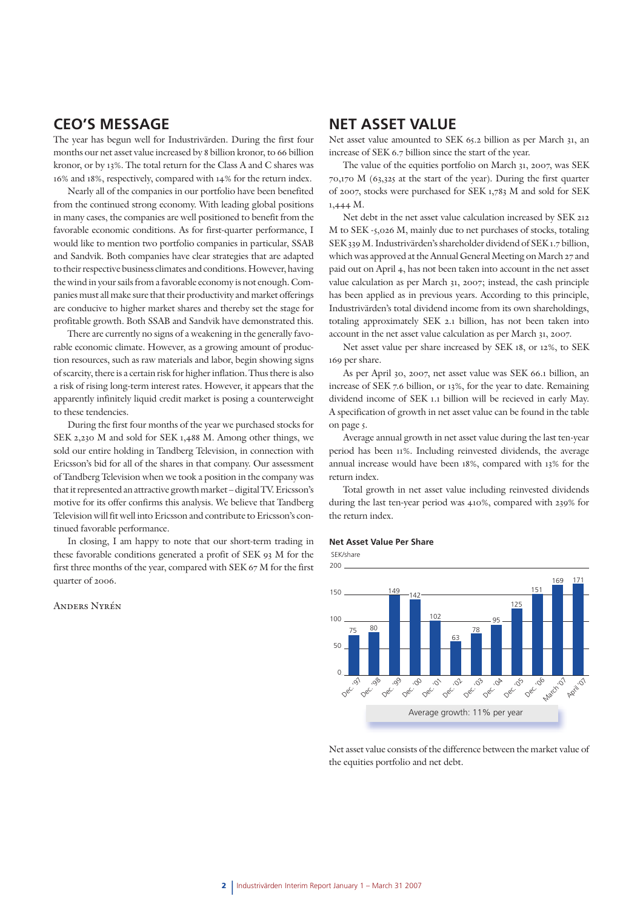### **CEO'S MESSAGE**

The year has begun well for Industrivärden. During the first four months our net asset value increased by 8 billion kronor, to 66 billion kronor, or by 13%. The total return for the Class A and C shares was 16% and 18%, respectively, compared with 14% for the return index.

Nearly all of the companies in our portfolio have been benefited from the continued strong economy. With leading global positions in many cases, the companies are well positioned to benefit from the favorable economic conditions. As for first-quarter performance, I would like to mention two portfolio companies in particular, SSAB and Sandvik. Both companies have clear strategies that are adapted to their respective business climates and conditions. However, having the wind in your sails from a favorable economy is not enough. Companies must all make sure that their productivity and market offerings are conducive to higher market shares and thereby set the stage for profitable growth. Both SSAB and Sandvik have demonstrated this.

There are currently no signs of a weakening in the generally favorable economic climate. However, as a growing amount of production resources, such as raw materials and labor, begin showing signs of scarcity, there is a certain risk for higher inflation. Thus there is also a risk of rising long-term interest rates. However, it appears that the apparently infinitely liquid credit market is posing a counterweight to these tendencies.

During the first four months of the year we purchased stocks for SEK 2,230 M and sold for SEK 1,488 M. Among other things, we sold our entire holding in Tandberg Television, in connection with Ericsson's bid for all of the shares in that company. Our assessment of Tandberg Television when we took a position in the company was that it represented an attractive growth market – digital TV. Ericsson's motive for its offer confirms this analysis. We believe that Tandberg Television will fit well into Ericsson and contribute to Ericsson's continued favorable performance.

In closing, I am happy to note that our short-term trading in **Net Asset Value Per Share** these favorable conditions generated a profit of SEK 93 M for the first three months of the year, compared with SEK 67 M for the first quarter of 2006.

#### Anders Nyrén

### **NET ASSET VALUE**

Net asset value amounted to SEK 65.2 billion as per March 31, an increase of SEK 6.7 billion since the start of the year.

The value of the equities portfolio on March 31, 2007, was SEK 70,170 M (63,325 at the start of the year). During the first quarter of 2007, stocks were purchased for SEK 1,783 M and sold for SEK 1,444 M.

Net debt in the net asset value calculation increased by SEK 212 M to SEK -5,026 M, mainly due to net purchases of stocks, totaling SEK 339 M. Industrivärden's shareholder dividend of SEK 1.7 billion, which was approved at the Annual General Meeting on March 27 and paid out on April 4, has not been taken into account in the net asset value calculation as per March 31, 2007; instead, the cash principle has been applied as in previous years. According to this principle, Industrivärden's total dividend income from its own shareholdings, totaling approximately SEK 2.1 billion, has not been taken into account in the net asset value calculation as per March 31, 2007.

Net asset value per share increased by SEK 18, or 12%, to SEK 169 per share.

As per April 30, 2007, net asset value was SEK 66.1 billion, an increase of SEK 7.6 billion, or 13%, for the year to date. Remaining dividend income of SEK 1.1 billion will be recieved in early May. A specification of growth in net asset value can be found in the table on page 5.

Average annual growth in net asset value during the last ten-year period has been 11%. Including reinvested dividends, the average annual increase would have been 18%, compared with 13% for the return index.

Total growth in net asset value including reinvested dividends during the last ten-year period was 410%, compared with 239% for the return index.





Net asset value consists of the difference between the market value of the equities portfolio and net debt.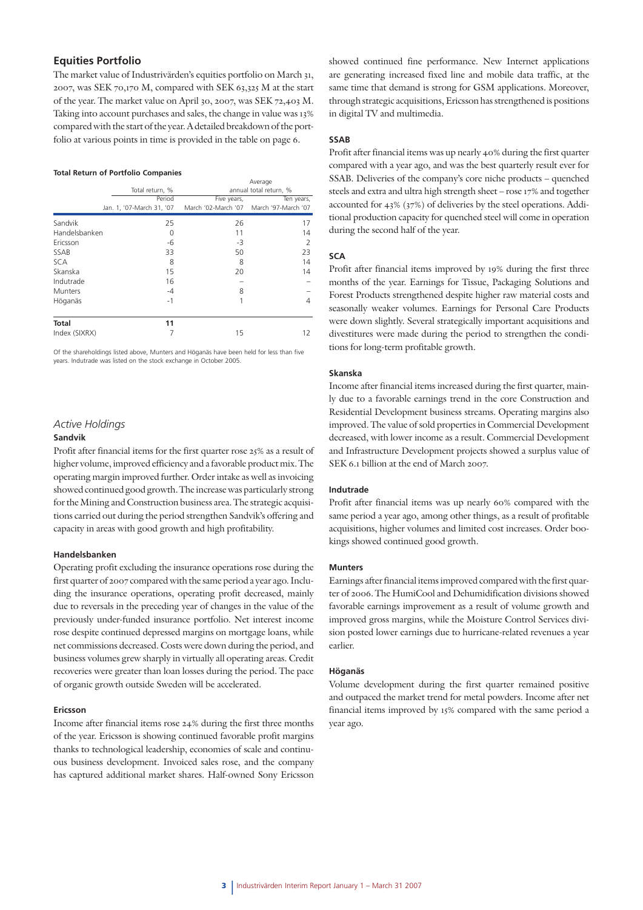#### **Equities Portfolio**

The market value of Industrivärden's equities portfolio on March 31, 2007, was SEK 70,170 M, compared with SEK 63,325 M at the start of the year. The market value on April 30, 2007, was SEK 72,403 M. Taking into account purchases and sales, the change in value was 13% compared with the start of the year. A detailed breakdown of the portfolio at various points in time is provided in the table on page 6.

#### **Total Return of Portfolio Companies**

|                |                           | Average     |                                         |  |  |  |
|----------------|---------------------------|-------------|-----------------------------------------|--|--|--|
|                | Total return, %           |             | annual total return, %                  |  |  |  |
|                | Period                    | Five years, | Ten years,                              |  |  |  |
|                | Jan. 1, '07-March 31, '07 |             | March '02-March '07 March '97-March '07 |  |  |  |
| Sandvik        | 25                        | 26          | 17                                      |  |  |  |
| Handelsbanken  | 0                         | 11          | 14                                      |  |  |  |
| Ericsson       | -6                        | -3          | 2                                       |  |  |  |
| SSAB           | 33                        | 50          | 23                                      |  |  |  |
| <b>SCA</b>     | 8                         | 8           | 14                                      |  |  |  |
| Skanska        | 15                        | 20          | 14                                      |  |  |  |
| Indutrade      | 16                        |             |                                         |  |  |  |
| <b>Munters</b> | $-4$                      | 8           |                                         |  |  |  |
| Höganäs        | $-1$                      |             | 4                                       |  |  |  |
| <b>Total</b>   | 11                        |             |                                         |  |  |  |
| Index (SIXRX)  |                           | 15          | 12                                      |  |  |  |

Of the shareholdings listed above, Munters and Höganäs have been held for less than five years. Indutrade was listed on the stock exchange in October 2005.

#### *Active Holdings*

#### **Sandvik**

Profit after financial items for the first quarter rose 25% as a result of higher volume, improved efficiency and a favorable product mix. The operating margin improved further. Order intake as well as invoicing showed continued good growth. The increase was particularly strong for the Mining and Construction business area. The strategic acquisitions carried out during the period strengthen Sandvik's offering and capacity in areas with good growth and high profitability.

#### **Handelsbanken**

Operating profit excluding the insurance operations rose during the first quarter of 2007 compared with the same period a year ago. Including the insurance operations, operating profit decreased, mainly due to reversals in the preceding year of changes in the value of the previously under-funded insurance portfolio. Net interest income rose despite continued depressed margins on mortgage loans, while net commissions decreased. Costs were down during the period, and business volumes grew sharply in virtually all operating areas. Credit recoveries were greater than loan losses during the period. The pace of organic growth outside Sweden will be accelerated.

#### **Ericsson**

Income after financial items rose 24% during the first three months of the year. Ericsson is showing continued favorable profit margins thanks to technological leadership, economies of scale and continuous business development. Invoiced sales rose, and the company has captured additional market shares. Half-owned Sony Ericsson showed continued fine performance. New Internet applications are generating increased fixed line and mobile data traffic, at the same time that demand is strong for GSM applications. Moreover, through strategic acquisitions, Ericsson has strengthened is positions in digital TV and multimedia.

#### **SSAB**

Profit after financial items was up nearly 40% during the first quarter compared with a year ago, and was the best quarterly result ever for SSAB. Deliveries of the company's core niche products – quenched steels and extra and ultra high strength sheet – rose 17% and together accounted for 43% (37%) of deliveries by the steel operations. Additional production capacity for quenched steel will come in operation during the second half of the year.

#### **SCA**

Profit after financial items improved by 19% during the first three months of the year. Earnings for Tissue, Packaging Solutions and Forest Products strengthened despite higher raw material costs and seasonally weaker volumes. Earnings for Personal Care Products were down slightly. Several strategically important acquisitions and divestitures were made during the period to strengthen the conditions for long-term profitable growth.

#### **Skanska**

Income after financial items increased during the first quarter, mainly due to a favorable earnings trend in the core Construction and Residential Development business streams. Operating margins also improved. The value of sold properties in Commercial Development decreased, with lower income as a result. Commercial Development and Infrastructure Development projects showed a surplus value of SEK 6.1 billion at the end of March 2007.

#### **Indutrade**

Profit after financial items was up nearly 60% compared with the same period a year ago, among other things, as a result of profitable acquisitions, higher volumes and limited cost increases. Order bookings showed continued good growth.

#### **Munters**

Earnings after financial items improved compared with the first quarter of 2006. The HumiCool and Dehumidification divisions showed favorable earnings improvement as a result of volume growth and improved gross margins, while the Moisture Control Services division posted lower earnings due to hurricane-related revenues a year earlier.

#### **Höganäs**

Volume development during the first quarter remained positive and outpaced the market trend for metal powders. Income after net financial items improved by 15% compared with the same period a year ago.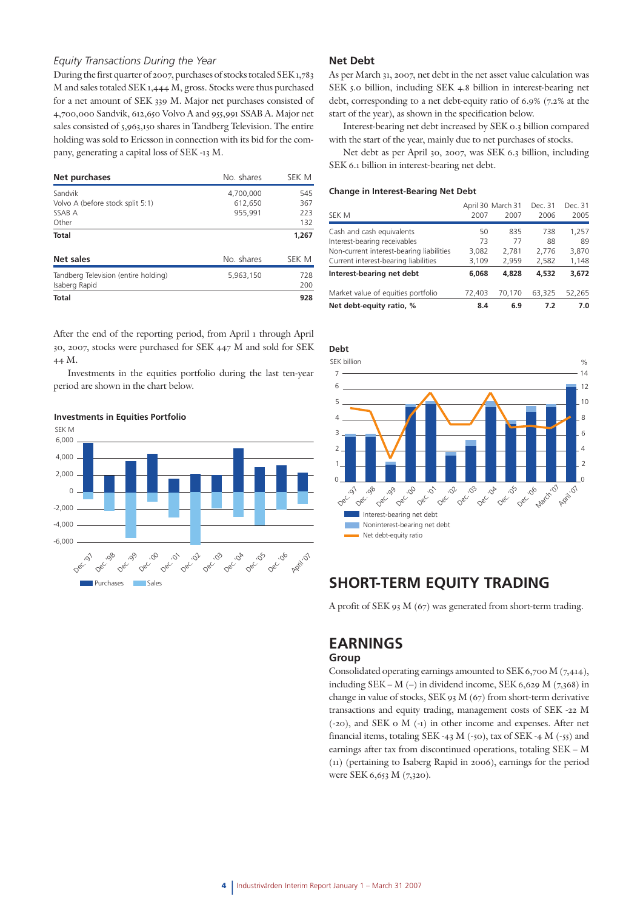#### *Equity Transactions During the Year*

During the first quarter of 2007, purchases of stocks totaled SEK 1,783 M and sales totaled SEK 1,444 M, gross. Stocks were thus purchased for a net amount of SEK 339 M. Major net purchases consisted of 4,700,000 Sandvik, 612,650 Volvo A and 955,991 SSAB A. Major net sales consisted of 5,963,150 shares in Tandberg Television. The entire holding was sold to Ericsson in connection with its bid for the company, generating a capital loss of SEK -13 M.

| Net purchases                                                  | No. shares                      | SEK M                    |
|----------------------------------------------------------------|---------------------------------|--------------------------|
| Sandvik<br>Volvo A (before stock split 5:1)<br>SSAB A<br>Other | 4,700,000<br>612,650<br>955,991 | 545<br>367<br>223<br>132 |
| Total                                                          |                                 | 1,267                    |
| Net sales                                                      | No. shares                      | SEK M                    |
| Tandberg Television (entire holding)<br>Isaberg Rapid          | 5,963,150                       | 728<br>200               |
| <b>Total</b>                                                   |                                 | 928                      |

After the end of the reporting period, from April 1 through April 30, 2007, stocks were purchased for SEK 447 M and sold for SEK 44 M.

Investments in the equities portfolio during the last ten-year period are shown in the chart below.



#### **Investments in Equities Portfolio**

#### **Net Debt**

As per March 31, 2007, net debt in the net asset value calculation was SEK 5.0 billion, including SEK 4.8 billion in interest-bearing net debt, corresponding to a net debt-equity ratio of 6.9% (7.2% at the start of the year), as shown in the specification below.

Interest-bearing net debt increased by SEK 0.3 billion compared with the start of the year, mainly due to net purchases of stocks.

Net debt as per April 30, 2007, was SEK 6.3 billion, including SEK 6.1 billion in interest-bearing net debt.

#### **Change in Interest-Bearing Net Debt**

| Net debt-equity ratio, %                 | 8.4               | 6.9    | 7.2     | 7.0     |
|------------------------------------------|-------------------|--------|---------|---------|
| Market value of equities portfolio       | 72,403            | 70.170 | 63.325  | 52,265  |
| Interest-bearing net debt                | 6,068             | 4,828  | 4,532   | 3,672   |
| Current interest-bearing liabilities     | 3,109             | 2,959  | 2,582   | 1,148   |
| Non-current interest-bearing liabilities | 3.082             | 2.781  | 2.776   | 3,870   |
| Interest-bearing receivables             | 73                | 77     | 88      | 89      |
| Cash and cash equivalents                | 50                | 835    | 738     | 1,257   |
| SEK M                                    | 2007              | 2007   | 2006    | 2005    |
|                                          | April 30 March 31 |        | Dec. 31 | Dec. 31 |



### **SHORT-TERM EQUITY TRADING**

A profit of SEK 93 M (67) was generated from short-term trading.

## **EARNINGS**

### **Group**

Consolidated operating earnings amounted to SEK 6,700 M (7,414), including SEK – M (–) in dividend income, SEK 6,629 M (7,368) in change in value of stocks, SEK 93 M (67) from short-term derivative transactions and equity trading, management costs of SEK -22 M (-20), and SEK 0 M (-1) in other income and expenses. After net financial items, totaling SEK -43 M (-50), tax of SEK -4 M (-55) and earnings after tax from discontinued operations, totaling SEK – M (11) (pertaining to Isaberg Rapid in 2006), earnings for the period were SEK 6,653 M (7,320).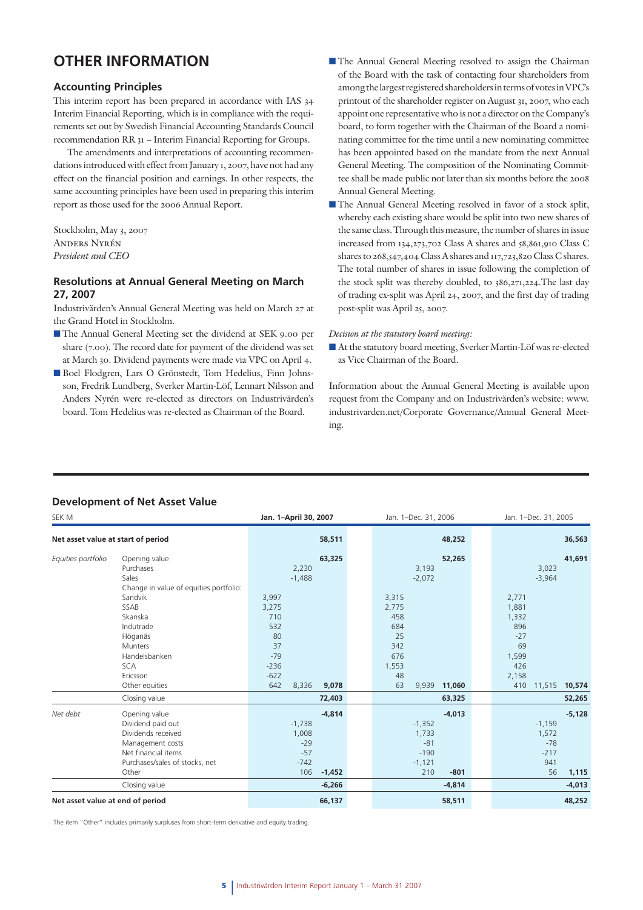### **OTHER INFORMATION**

#### **Accounting Principles**

This interim report has been prepared in accordance with IAS 34 Interim Financial Reporting, which is in compliance with the requirements set out by Swedish Financial Accounting Standards Council recommendation RR 31 – Interim Financial Reporting for Groups.

The amendments and interpretations of accounting recommendations introduced with effect from January 1, 2007, have not had any effect on the financial position and earnings. In other respects, the same accounting principles have been used in preparing this interim report as those used for the 2006 Annual Report.

Stockholm, May 3, 2007 Anders Nyrén *President and CEO*

### **Resolutions at Annual General Meeting on March 27, 2007**

Industrivärden's Annual General Meeting was held on March 27 at the Grand Hotel in Stockholm.

- The Annual General Meeting set the dividend at SEK 9.00 per share (7.00). The record date for payment of the dividend was set at March 30. Dividend payments were made via VPC on April 4.
- Boel Flodgren, Lars O Grönstedt, Tom Hedelius, Finn Johnsson, Fredrik Lundberg, Sverker Martin-Löf, Lennart Nilsson and Anders Nyrén were re-elected as directors on Industrivärden's board. Tom Hedelius was re-elected as Chairman of the Board.
- The Annual General Meeting resolved to assign the Chairman of the Board with the task of contacting four shareholders from among the largest registered shareholders in terms of votes in VPC's printout of the shareholder register on August 31, 2007, who each appoint one representative who is not a director on the Company's board, to form together with the Chairman of the Board a nominating committee for the time until a new nominating committee has been appointed based on the mandate from the next Annual General Meeting. The composition of the Nominating Committee shall be made public not later than six months before the 2008 Annual General Meeting.
- The Annual General Meeting resolved in favor of a stock split, whereby each existing share would be split into two new shares of the same class. Through this measure, the number of shares in issue increased from 134,273,702 Class A shares and 58,861,910 Class C shares to 268,547,404 Class A shares and 117,723,820 Class C shares. The total number of shares in issue following the completion of the stock split was thereby doubled, to 386,271,224.The last day of trading ex-split was April 24, 2007, and the first day of trading post-split was April 25, 2007.

#### *Decision at the statutory board meeting:*

 At the statutory board meeting, Sverker Martin-Löf was re-elected as Vice Chairman of the Board.

Information about the Annual General Meeting is available upon request from the Company and on Industrivärden's website: www. industrivarden.net/Corporate Governance/Annual General Meeting.

### **Development of Net Asset Value**

| SEK M                              |                                        | Jan. 1-April 30, 2007 |          |       | Jan. 1-Dec. 31, 2006 | Jan. 1-Dec. 31, 2005 |       |          |          |
|------------------------------------|----------------------------------------|-----------------------|----------|-------|----------------------|----------------------|-------|----------|----------|
| Net asset value at start of period |                                        |                       | 58,511   |       | 48,252               |                      |       |          | 36,563   |
| Equities portfolio                 | Opening value                          |                       | 63,325   |       | 52,265               |                      |       |          | 41,691   |
|                                    | Purchases                              | 2,230                 |          |       | 3,193                |                      |       | 3,023    |          |
|                                    | Sales                                  | $-1,488$              |          |       | $-2,072$             |                      |       | $-3,964$ |          |
|                                    | Change in value of equities portfolio: |                       |          |       |                      |                      |       |          |          |
|                                    | Sandvik                                | 3,997                 |          | 3,315 |                      |                      | 2,771 |          |          |
|                                    | SSAB                                   | 3,275                 |          | 2,775 |                      |                      | 1,881 |          |          |
|                                    | Skanska                                | 710                   |          | 458   |                      |                      | 1,332 |          |          |
|                                    | Indutrade                              | 532                   |          | 684   |                      |                      | 896   |          |          |
|                                    | Höganäs                                | 80                    |          | 25    |                      |                      | $-27$ |          |          |
|                                    | <b>Munters</b>                         | 37                    |          | 342   |                      |                      | 69    |          |          |
|                                    | Handelsbanken                          | $-79$                 |          | 676   |                      |                      | 1,599 |          |          |
|                                    | <b>SCA</b>                             | $-236$                |          | 1,553 |                      |                      | 426   |          |          |
|                                    | Ericsson                               | $-622$                |          | 48    |                      |                      | 2,158 |          |          |
|                                    | Other equities                         | 642<br>8,336          | 9,078    | 63    | 9,939<br>11,060      |                      | 410   | 11,515   | 10,574   |
|                                    | Closing value                          |                       | 72,403   |       | 63,325               |                      |       |          | 52,265   |
| Net debt                           | Opening value                          |                       | $-4,814$ |       | $-4,013$             |                      |       |          | $-5,128$ |
|                                    | Dividend paid out                      | $-1,738$              |          |       | $-1,352$             |                      |       | $-1,159$ |          |
|                                    | Dividends received                     | 1,008                 |          |       | 1,733                |                      |       | 1,572    |          |
|                                    | Management costs                       | $-29$                 |          |       | $-81$                |                      |       | $-78$    |          |
|                                    | Net financial items                    | $-57$                 |          |       | $-190$               |                      |       | $-217$   |          |
|                                    | Purchases/sales of stocks, net         | $-742$                |          |       | $-1,121$             |                      |       | 941      |          |
|                                    | Other                                  | 106                   | $-1,452$ |       | 210<br>$-801$        |                      |       | 56       | 1,115    |
|                                    | Closing value                          |                       | $-6,266$ |       | $-4,814$             |                      |       |          | $-4,013$ |
| Net asset value at end of period   |                                        |                       | 66,137   |       | 58,511               |                      |       |          | 48,252   |

The item "Other" includes primarily surpluses from short-term derivative and equity trading.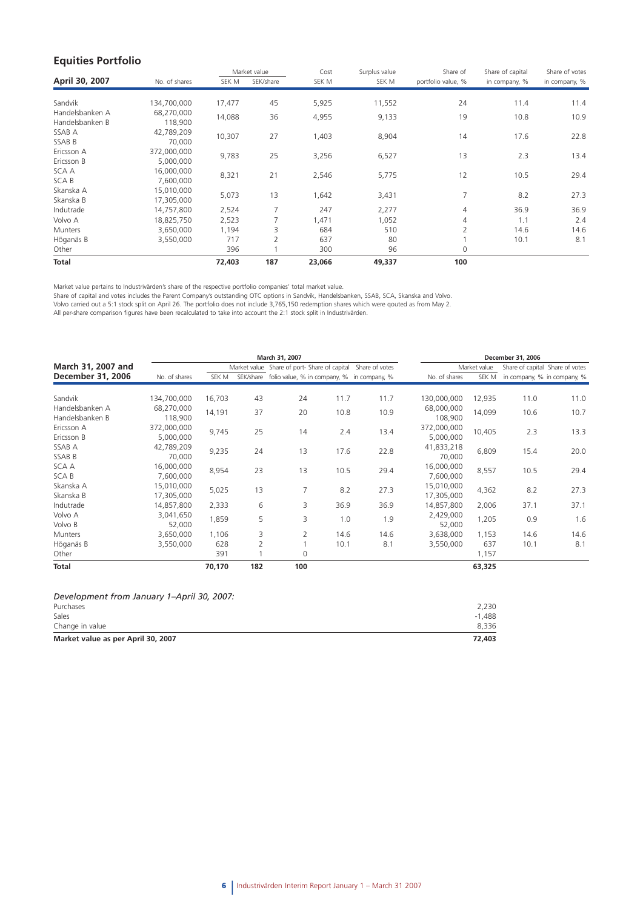### **Equities Portfolio**

|                 |               |        | Market value   | Cost   | Surplus value | Share of           | Share of capital | Share of votes |
|-----------------|---------------|--------|----------------|--------|---------------|--------------------|------------------|----------------|
| April 30, 2007  | No. of shares | SEK M  | SEK/share      | SEK M  | SEK M         | portfolio value, % | in company, %    | in company, %  |
|                 |               |        |                |        |               |                    |                  |                |
| Sandvik         | 134,700,000   | 17,477 | 45             | 5,925  | 11,552        | 24                 | 11.4             | 11.4           |
| Handelsbanken A | 68,270,000    | 14,088 | 36             | 4,955  | 9,133         | 19                 | 10.8             | 10.9           |
| Handelsbanken B | 118,900       |        |                |        |               |                    |                  |                |
| SSAB A          | 42,789,209    | 10,307 | 27             | 1,403  | 8,904         | 14                 | 17.6             | 22.8           |
| SSAB B          | 70,000        |        |                |        |               |                    |                  |                |
| Ericsson A      | 372,000,000   | 9,783  | 25             | 3,256  | 6,527         | 13                 | 2.3              | 13.4           |
| Ericsson B      | 5,000,000     |        |                |        |               |                    |                  |                |
| SCA A           | 16,000,000    | 8,321  | 21             | 2,546  | 5,775         | 12                 | 10.5             | 29.4           |
| <b>SCAB</b>     | 7,600,000     |        |                |        |               |                    |                  |                |
| Skanska A       | 15,010,000    | 5,073  | 13             | 1,642  | 3,431         | 7                  | 8.2              | 27.3           |
| Skanska B       | 17,305,000    |        |                |        |               |                    |                  |                |
| Indutrade       | 14,757,800    | 2,524  | 7              | 247    | 2,277         | 4                  | 36.9             | 36.9           |
| Volvo A         | 18,825,750    | 2,523  |                | 1,471  | 1,052         | 4                  | 1.1              | 2.4            |
| <b>Munters</b>  | 3,650,000     | 1,194  | 3              | 684    | 510           | $\overline{2}$     | 14.6             | 14.6           |
| Höganäs B       | 3,550,000     | 717    | $\overline{2}$ | 637    | 80            |                    | 10.1             | 8.1            |
| Other           |               | 396    |                | 300    | 96            | 0                  |                  |                |
| Total           |               | 72,403 | 187            | 23,066 | 49,337        | 100                |                  |                |

Market value pertains to Industrivärden's share of the respective portfolio companies' total market value.

Share of capital and votes includes the Parent Company's outstanding OTC options in Sandvik, Handelsbanken, SSAB, SCA, Skanska and Volvo.

Volvo carried out a 5:1 stock split on April 26. The portfolio does not include 3,765,150 redemption shares which were qouted as from May 2.

All per-share comparison figures have been recalculated to take into account the 2:1 stock split in Industrivärden.

|                                    |                          |        |     | March 31, 2007                                             |      |      | December 31, 2006        |              |                                 |      |
|------------------------------------|--------------------------|--------|-----|------------------------------------------------------------|------|------|--------------------------|--------------|---------------------------------|------|
| March 31, 2007 and                 |                          |        |     | Market value Share of port-Share of capital Share of votes |      |      |                          | Market value | Share of capital Share of votes |      |
| December 31, 2006                  | No. of shares            | SEK M  |     | SEK/share folio value, % in company, % in company, %       |      |      | No. of shares            | SEK M        | in company, % in company, %     |      |
| Sandvik                            | 134,700,000              | 16,703 | 43  | 24                                                         | 11.7 | 11.7 | 130,000,000              | 12,935       | 11.0                            | 11.0 |
| Handelsbanken A<br>Handelsbanken B | 68,270,000<br>118,900    | 14,191 | 37  | 20                                                         | 10.8 | 10.9 | 68,000,000<br>108,900    | 14,099       | 10.6                            | 10.7 |
| Ericsson A<br>Ericsson B           | 372,000,000<br>5,000,000 | 9,745  | 25  | 14                                                         | 2.4  | 13.4 | 372,000,000<br>5,000,000 | 10,405       | 2.3                             | 13.3 |
| SSAB A<br>SSAB B                   | 42,789,209<br>70,000     | 9,235  | 24  | 13                                                         | 17.6 | 22.8 | 41,833,218<br>70,000     | 6,809        | 15.4                            | 20.0 |
| SCA A<br><b>SCAB</b>               | 16,000,000<br>7,600,000  | 8,954  | 23  | 13                                                         | 10.5 | 29.4 | 16,000,000<br>7,600,000  | 8,557        | 10.5                            | 29.4 |
| Skanska A<br>Skanska B             | 15,010,000<br>17,305,000 | 5,025  | 13  | 7                                                          | 8.2  | 27.3 | 15,010,000<br>17,305,000 | 4,362        | 8.2                             | 27.3 |
| Indutrade                          | 14,857,800               | 2,333  | 6   | 3                                                          | 36.9 | 36.9 | 14,857,800               | 2,006        | 37.1                            | 37.1 |
| Volvo A<br>Volvo B                 | 3,041,650<br>52,000      | 1,859  | 5   | 3                                                          | 1.0  | 1.9  | 2,429,000<br>52,000      | 1,205        | 0.9                             | 1.6  |
| Munters                            | 3,650,000                | 1,106  | 3   | $\overline{2}$                                             | 14.6 | 14.6 | 3,638,000                | 1,153        | 14.6                            | 14.6 |
| Höganäs B                          | 3,550,000                | 628    | 2   |                                                            | 10.1 | 8.1  | 3,550,000                | 637          | 10.1                            | 8.1  |
| Other                              |                          | 391    |     | $\Omega$                                                   |      |      |                          | 1,157        |                                 |      |
| Total                              |                          | 70,170 | 182 | 100                                                        |      |      |                          | 63,325       |                                 |      |

| Market value as per April 30, 2007         | 72,403 |
|--------------------------------------------|--------|
| Change in value                            | 8.336  |
| Sales                                      | -1.488 |
| Purchases                                  | 2.230  |
| Development from January 1-April 30, 2007: |        |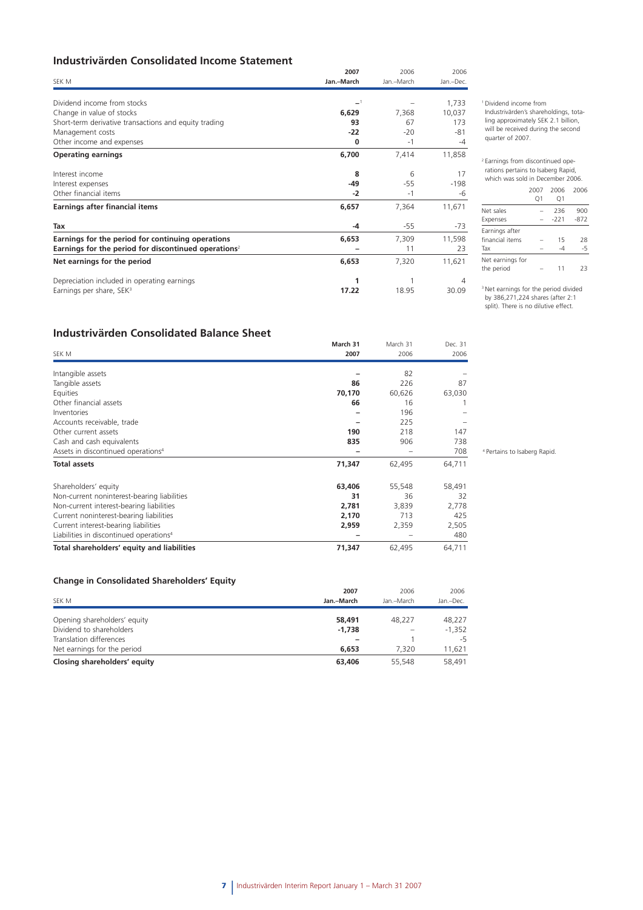### **Industrivärden Consolidated Income Statement**

|                                                                  | 2007       | 2006       | 2006      |
|------------------------------------------------------------------|------------|------------|-----------|
| SEK M                                                            | Jan.-March | Jan.-March | Jan.-Dec. |
| Dividend income from stocks                                      | $-1$       |            | 1,733     |
| Change in value of stocks                                        | 6,629      | 7,368      | 10,037    |
| Short-term derivative transactions and equity trading            | 93         | 67         | 173       |
| Management costs                                                 | $-22$      | $-20$      | $-81$     |
| Other income and expenses                                        | 0          | $-1$       | -4        |
| <b>Operating earnings</b>                                        | 6,700      | 7,414      | 11,858    |
| Interest income                                                  | 8          | 6          | 17        |
| Interest expenses                                                | $-49$      | $-55$      | $-198$    |
| Other financial items                                            | $-2$       | $-1$       | -6        |
| Earnings after financial items                                   | 6,657      | 7,364      | 11,671    |
| Tax                                                              | $-4$       | $-55$      | -73       |
| Earnings for the period for continuing operations                | 6,653      | 7,309      | 11,598    |
| Earnings for the period for discontinued operations <sup>2</sup> |            | 11         | 23        |
| Net earnings for the period                                      | 6,653      | 7,320      | 11,621    |
| Depreciation included in operating earnings                      |            |            | 4         |
| Earnings per share, SEK <sup>3</sup>                             | 17.22      | 18.95      | 30.09     |

1 Dividend income from

Industrivärden's shareholdings, totaling approximately SEK 2.1 billion, will be received during the second quarter of 2007.

2 Earnings from discontinued operations pertains to Isaberg Rapid,

#### which was sold in December 2006. 2007 2006 2006 Q1 Q1 Net sales – 236 900 Expenses – -221 -872 Earnings after financial items  $-$  15 28<br>Tax  $-4$   $-5$  $\mathsf{Tax}$ Net earnings for the period  $-$  11 23

3 Net earnings for the period divided by 386,271,224 shares (after 2:1 split). There is no dilutive effect.

### **Industrivärden Consolidated Balance Sheet**

|                                                     | March 31 | March 31 | Dec. 31 |
|-----------------------------------------------------|----------|----------|---------|
| SEK M                                               | 2007     | 2006     | 2006    |
| Intangible assets                                   |          | 82       |         |
| Tangible assets                                     | 86       | 226      | 87      |
| Equities                                            | 70,170   | 60,626   | 63,030  |
| Other financial assets                              | 66       | 16       |         |
| Inventories                                         |          | 196      |         |
| Accounts receivable, trade                          |          | 225      |         |
| Other current assets                                | 190      | 218      | 147     |
| Cash and cash equivalents                           | 835      | 906      | 738     |
| Assets in discontinued operations <sup>4</sup>      |          |          | 708     |
| <b>Total assets</b>                                 | 71,347   | 62,495   | 64,711  |
| Shareholders' equity                                | 63,406   | 55,548   | 58,491  |
| Non-current noninterest-bearing liabilities         | 31       | 36       | 32      |
| Non-current interest-bearing liabilities            | 2,781    | 3,839    | 2,778   |
| Current noninterest-bearing liabilities             | 2,170    | 713      | 425     |
| Current interest-bearing liabilities                | 2,959    | 2,359    | 2,505   |
| Liabilities in discontinued operations <sup>4</sup> |          |          | 480     |
| Total shareholders' equity and liabilities          | 71,347   | 62,495   | 64,711  |

#### **Change in Consolidated Shareholders' Equity**

|                              | 2007       | 2006       | 2006      |
|------------------------------|------------|------------|-----------|
| SEK M                        | Jan.-March | Jan.-March | Jan.-Dec. |
|                              |            |            |           |
| Opening shareholders' equity | 58,491     | 48.227     | 48.227    |
| Dividend to shareholders     | $-1.738$   |            | $-1,352$  |
| Translation differences      |            |            | -5        |
| Net earnings for the period  | 6,653      | 7.320      | 11.621    |
| Closing shareholders' equity | 63,406     | 55,548     | 58,491    |

4 Pertains to Isaberg Rapid.